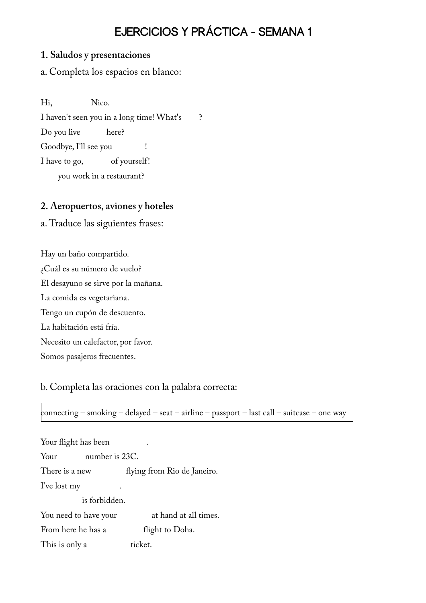# EJERCICIOS Y PRÁCTICA - SEMANA 1

#### **1. Saludos y presentaciones**

a. Completa los espacios en blanco:

Hi, Nico.

I haven't seen you in a long time! What's ?

Do you live here?

Goodbye, I'll see you !

I have to go, of yourself!

you work in a restaurant?

## **2. Aeropuertos, aviones y hoteles**

a. Traduce las siguientes frases:

Hay un baño compartido. ¿Cuál es su número de vuelo? El desayuno se sirve por la mañana. La comida es vegetariana. Tengo un cupón de descuento. La habitación está fría. Necesito un calefactor, por favor. Somos pasajeros frecuentes.

b. Completa las oraciones con la palabra correcta:

connecting – smoking – delayed – seat – airline – passport – last call – suitcase – one way

| Your flight has been   |                             |  |  |
|------------------------|-----------------------------|--|--|
| number is 23C.<br>Your |                             |  |  |
| There is a new         | flying from Rio de Janeiro. |  |  |
| I've lost my           |                             |  |  |
| is forbidden.          |                             |  |  |
| You need to have your  | at hand at all times.       |  |  |
| From here he has a     | flight to Doha.             |  |  |
| This is only a         | ticket.                     |  |  |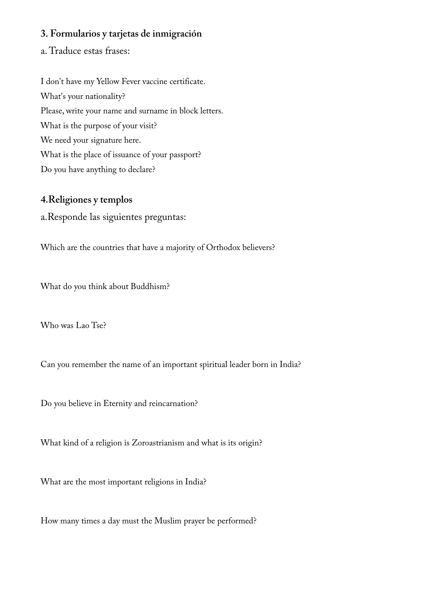## **3. Formularios y tarjetas de inmigración**

a. Traduce estas frases:

I don't have my Yellow Fever vaccine certificate. What's your nationality? Please, write your name and surname in block letters. What is the purpose of your visit? We need your signature here. What is the place of issuance of your passport? Do you have anything to declare?

#### **4.Religiones y templos**

a.Responde las siguientes preguntas:

Which are the countries that have a majority of Orthodox believers?

What do you think about Buddhism?

Who was Lao Tse?

Can you remember the name of an important spiritual leader born in India?

Do you believe in Eternity and reincarnation?

What kind of a religion is Zoroastrianism and what is its origin?

What are the most important religions in India?

How many times a day must the Muslim prayer be performed?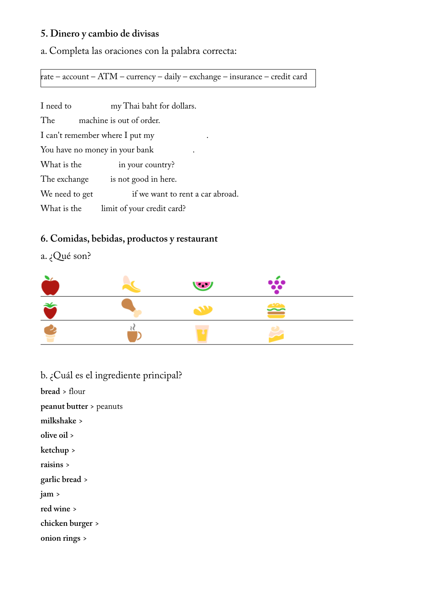# **5. Dinero y cambio de divisas**

a. Completa las oraciones con la palabra correcta:

rate – account – ATM – currency – daily – exchange – insurance – credit card

| I need to      | my Thai baht for dollars.            |  |
|----------------|--------------------------------------|--|
| The            | machine is out of order.             |  |
|                | I can't remember where I put my<br>٠ |  |
|                | You have no money in your bank       |  |
| What is the    | in your country?                     |  |
| The exchange   | is not good in here.                 |  |
| We need to get | if we want to rent a car abroad.     |  |
| What is the    | limit of your credit card?           |  |

# **6. Comidas, bebidas, productos y restaurant**

a. ¿Qué son?

|  | 980 |  |
|--|-----|--|
|  | 签   |  |
|  |     |  |

| b. ¿Cuál es el ingrediente principal? |
|---------------------------------------|
| bread > flour                         |
| <b>peanut butter</b> > peanuts        |
| milkshake >                           |
| olive oil >                           |
| ketchup >                             |
| raisins $>$                           |
| garlic bread >                        |
| jam >                                 |
| red wine >                            |
| chicken burger >                      |
| onion rings >                         |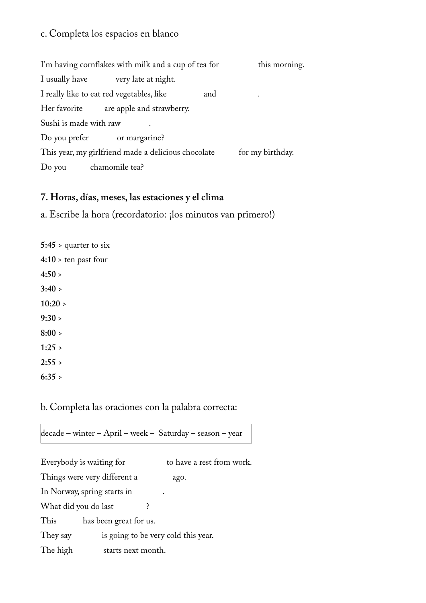## c. Completa los espacios en blanco

| I'm having cornflakes with milk and a cup of tea for |                                                     | this morning. |                  |
|------------------------------------------------------|-----------------------------------------------------|---------------|------------------|
| I usually have                                       | very late at night.                                 |               |                  |
|                                                      | I really like to eat red vegetables, like           | and           | $\bullet$        |
| Her favorite                                         | are apple and strawberry.                           |               |                  |
| Sushi is made with raw                               |                                                     |               |                  |
|                                                      | Do you prefer or margarine?                         |               |                  |
|                                                      | This year, my girlfriend made a delicious chocolate |               | for my birthday. |
| Do you                                               | chamomile tea?                                      |               |                  |

#### **7. Horas, días, meses, las estaciones y el clima**

a. Escribe la hora (recordatorio: ¡los minutos van primero!)

| $5:45 >$ quarter to six |
|-------------------------|
| $4:10 >$ ten past four  |
| 4:50 >                  |
| 3:40 >                  |
| 10:20 >                 |
| 9:30 >                  |
| 8:00 >                  |
| 1:25                    |
| 2:55                    |
| 6:35 >                  |

b. Completa las oraciones con la palabra correcta:

decade – winter – April – week – Saturday – season – year

Everybody is waiting for to have a rest from work. Things were very different a ago. In Norway, spring starts in . What did you do last ? This has been great for us. They say is going to be very cold this year. The high starts next month.